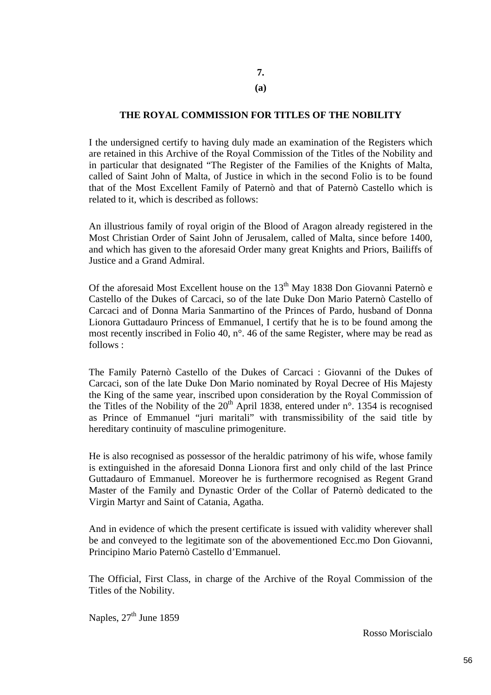## **7.**

### **(a)**

## **THE ROYAL COMMISSION FOR TITLES OF THE NOBILITY**

I the undersigned certify to having duly made an examination of the Registers which are retained in this Archive of the Royal Commission of the Titles of the Nobility and in particular that designated "The Register of the Families of the Knights of Malta, called of Saint John of Malta, of Justice in which in the second Folio is to be found that of the Most Excellent Family of Paternò and that of Paternò Castello which is related to it, which is described as follows:

An illustrious family of royal origin of the Blood of Aragon already registered in the Most Christian Order of Saint John of Jerusalem, called of Malta, since before 1400, and which has given to the aforesaid Order many great Knights and Priors, Bailiffs of Justice and a Grand Admiral.

Of the aforesaid Most Excellent house on the  $13<sup>th</sup>$  May 1838 Don Giovanni Paternò e Castello of the Dukes of Carcaci, so of the late Duke Don Mario Paternò Castello of Carcaci and of Donna Maria Sanmartino of the Princes of Pardo, husband of Donna Lionora Guttadauro Princess of Emmanuel, I certify that he is to be found among the most recently inscribed in Folio 40, n°. 46 of the same Register, where may be read as follows :

The Family Paternò Castello of the Dukes of Carcaci : Giovanni of the Dukes of Carcaci, son of the late Duke Don Mario nominated by Royal Decree of His Majesty the King of the same year, inscribed upon consideration by the Royal Commission of the Titles of the Nobility of the  $20<sup>th</sup>$  April 1838, entered under n°. 1354 is recognised as Prince of Emmanuel "juri maritali" with transmissibility of the said title by hereditary continuity of masculine primogeniture.

He is also recognised as possessor of the heraldic patrimony of his wife, whose family is extinguished in the aforesaid Donna Lionora first and only child of the last Prince Guttadauro of Emmanuel. Moreover he is furthermore recognised as Regent Grand Master of the Family and Dynastic Order of the Collar of Paternò dedicated to the Virgin Martyr and Saint of Catania, Agatha.

And in evidence of which the present certificate is issued with validity wherever shall be and conveyed to the legitimate son of the abovementioned Ecc.mo Don Giovanni, Principino Mario Paternò Castello d'Emmanuel.

The Official, First Class, in charge of the Archive of the Royal Commission of the Titles of the Nobility.

Naples,  $27<sup>th</sup>$  June 1859

Rosso Moriscialo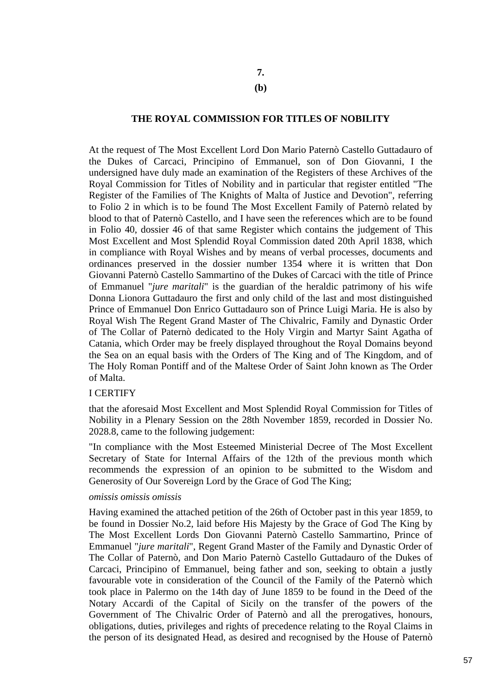# **7.**

### **(b)**

### **THE ROYAL COMMISSION FOR TITLES OF NOBILITY**

At the request of The Most Excellent Lord Don Mario Paternò Castello Guttadauro of the Dukes of Carcaci, Principino of Emmanuel, son of Don Giovanni, I the undersigned have duly made an examination of the Registers of these Archives of the Royal Commission for Titles of Nobility and in particular that register entitled "The Register of the Families of The Knights of Malta of Justice and Devotion", referring to Folio 2 in which is to be found The Most Excellent Family of Paternò related by blood to that of Paternò Castello, and I have seen the references which are to be found in Folio 40, dossier 46 of that same Register which contains the judgement of This Most Excellent and Most Splendid Royal Commission dated 20th April 1838, which in compliance with Royal Wishes and by means of verbal processes, documents and ordinances preserved in the dossier number 1354 where it is written that Don Giovanni Paternò Castello Sammartino of the Dukes of Carcaci with the title of Prince of Emmanuel "*jure maritali*" is the guardian of the heraldic patrimony of his wife Donna Lionora Guttadauro the first and only child of the last and most distinguished Prince of Emmanuel Don Enrico Guttadauro son of Prince Luigi Maria. He is also by Royal Wish The Regent Grand Master of The Chivalric, Family and Dynastic Order of The Collar of Paternò dedicated to the Holy Virgin and Martyr Saint Agatha of Catania, which Order may be freely displayed throughout the Royal Domains beyond the Sea on an equal basis with the Orders of The King and of The Kingdom, and of The Holy Roman Pontiff and of the Maltese Order of Saint John known as The Order of Malta.

#### I CERTIFY

that the aforesaid Most Excellent and Most Splendid Royal Commission for Titles of Nobility in a Plenary Session on the 28th November 1859, recorded in Dossier No. 2028.8, came to the following judgement:

"In compliance with the Most Esteemed Ministerial Decree of The Most Excellent Secretary of State for Internal Affairs of the 12th of the previous month which recommends the expression of an opinion to be submitted to the Wisdom and Generosity of Our Sovereign Lord by the Grace of God The King;

#### *omissis omissis omissis*

Having examined the attached petition of the 26th of October past in this year 1859, to be found in Dossier No.2, laid before His Majesty by the Grace of God The King by The Most Excellent Lords Don Giovanni Paternò Castello Sammartino, Prince of Emmanuel "*jure maritali*", Regent Grand Master of the Family and Dynastic Order of The Collar of Paternò, and Don Mario Paternò Castello Guttadauro of the Dukes of Carcaci, Principino of Emmanuel, being father and son, seeking to obtain a justly favourable vote in consideration of the Council of the Family of the Paternò which took place in Palermo on the 14th day of June 1859 to be found in the Deed of the Notary Accardi of the Capital of Sicily on the transfer of the powers of the Government of The Chivalric Order of Paternò and all the prerogatives, honours, obligations, duties, privileges and rights of precedence relating to the Royal Claims in the person of its designated Head, as desired and recognised by the House of Paternò